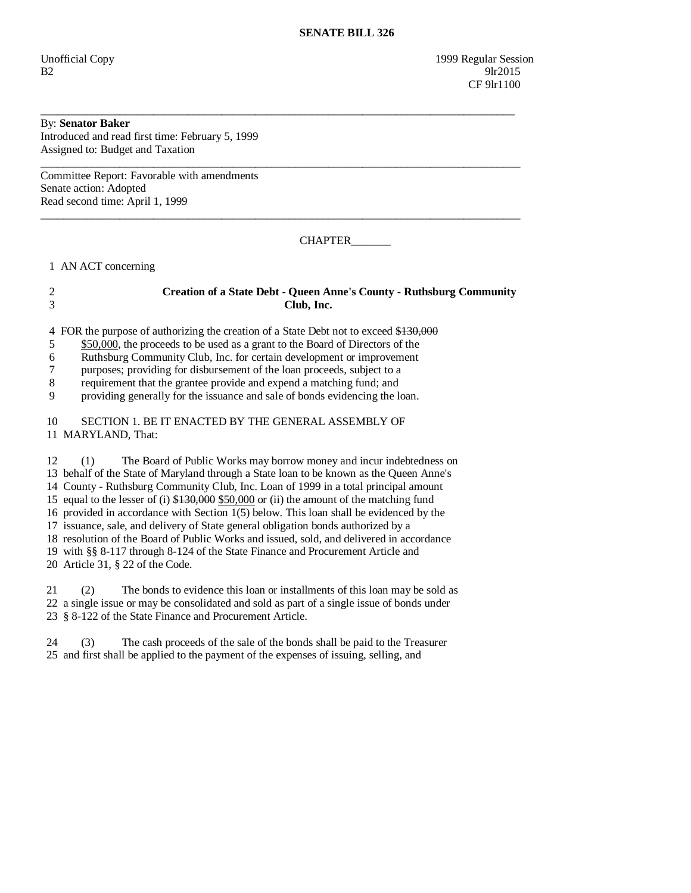Unofficial Copy 1999 Regular Session  $B2$  9lr2015 CF 9lr1100

## By: **Senator Baker**

Introduced and read first time: February 5, 1999 Assigned to: Budget and Taxation

Committee Report: Favorable with amendments Senate action: Adopted Read second time: April 1, 1999

CHAPTER\_\_\_\_\_\_\_

1 AN ACT concerning

## 2 **Creation of a State Debt - Queen Anne's County - Ruthsburg Community**  3 **Club, Inc.**

\_\_\_\_\_\_\_\_\_\_\_\_\_\_\_\_\_\_\_\_\_\_\_\_\_\_\_\_\_\_\_\_\_\_\_\_\_\_\_\_\_\_\_\_\_\_\_\_\_\_\_\_\_\_\_\_\_\_\_\_\_\_\_\_\_\_\_\_\_\_\_\_\_\_\_\_\_\_\_\_\_\_\_\_

\_\_\_\_\_\_\_\_\_\_\_\_\_\_\_\_\_\_\_\_\_\_\_\_\_\_\_\_\_\_\_\_\_\_\_\_\_\_\_\_\_\_\_\_\_\_\_\_\_\_\_\_\_\_\_\_\_\_\_\_\_\_\_\_\_\_\_\_\_\_\_\_\_\_\_\_\_\_\_\_\_\_\_\_\_

\_\_\_\_\_\_\_\_\_\_\_\_\_\_\_\_\_\_\_\_\_\_\_\_\_\_\_\_\_\_\_\_\_\_\_\_\_\_\_\_\_\_\_\_\_\_\_\_\_\_\_\_\_\_\_\_\_\_\_\_\_\_\_\_\_\_\_\_\_\_\_\_\_\_\_\_\_\_\_\_\_\_\_\_\_

4 FOR the purpose of authorizing the creation of a State Debt not to exceed \$130,000

5 \$50,000, the proceeds to be used as a grant to the Board of Directors of the

6 Ruthsburg Community Club, Inc. for certain development or improvement

7 purposes; providing for disbursement of the loan proceeds, subject to a

8 requirement that the grantee provide and expend a matching fund; and

9 providing generally for the issuance and sale of bonds evidencing the loan.

 10 SECTION 1. BE IT ENACTED BY THE GENERAL ASSEMBLY OF 11 MARYLAND, That:

 12 (1) The Board of Public Works may borrow money and incur indebtedness on 13 behalf of the State of Maryland through a State loan to be known as the Queen Anne's 14 County - Ruthsburg Community Club, Inc. Loan of 1999 in a total principal amount 15 equal to the lesser of (i)  $$130,000$  \$50,000 or (ii) the amount of the matching fund

16 provided in accordance with Section 1(5) below. This loan shall be evidenced by the

17 issuance, sale, and delivery of State general obligation bonds authorized by a

18 resolution of the Board of Public Works and issued, sold, and delivered in accordance

19 with §§ 8-117 through 8-124 of the State Finance and Procurement Article and

20 Article 31, § 22 of the Code.

 21 (2) The bonds to evidence this loan or installments of this loan may be sold as 22 a single issue or may be consolidated and sold as part of a single issue of bonds under 23 § 8-122 of the State Finance and Procurement Article.

 24 (3) The cash proceeds of the sale of the bonds shall be paid to the Treasurer 25 and first shall be applied to the payment of the expenses of issuing, selling, and